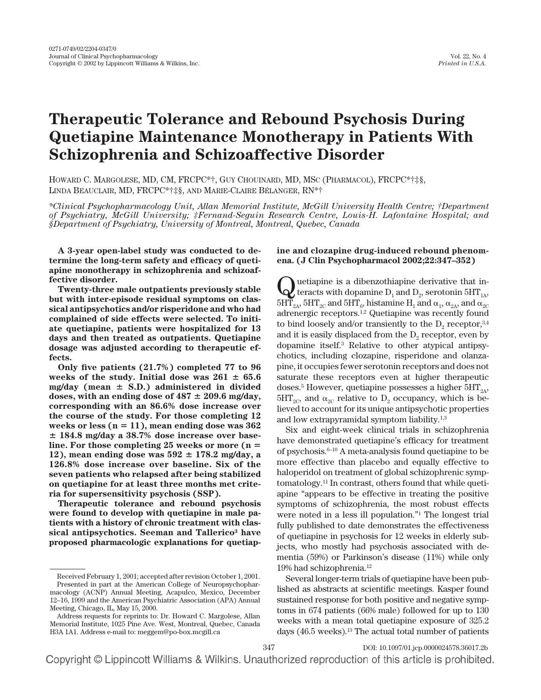# **Therapeutic Tolerance and Rebound Psychosis During Quetiapine Maintenance Monotherapy in Patients With Schizophrenia and Schizoaffective Disorder**

HOWARD C. MARGOLESE, MD, CM, FRCPC\*†, GUY CHOUINARD, MD, MSC (PHARMACOL), FRCPC\*†‡§, LINDA BEAUCLAIR, MD, FRCPC\*†‡§, AND MARIE-CLAIRE BÉLANGER, RN\*†

*\*Clinical Psychopharmacology Unit, Allan Memorial Institute, McGill University Health Centre; †Department of Psychiatry, McGill University; ‡Fernand-Seguin Research Centre, Louis-H. Lafontaine Hospital; and §Department of Psychiatry, University of Montreal, Montreal, Quebec, Canada*

**A 3-year open-label study was conducted to determine the long-term safety and efficacy of quetiapine monotherapy in schizophrenia and schizoaffective disorder.**

**Twenty-three male outpatients previously stable but with inter-episode residual symptoms on classical antipsychotics and/or risperidone and who had complained of side effects were selected. To initiate quetiapine, patients were hospitalized for 13 days and then treated as outpatients. Quetiapine dosage was adjusted according to therapeutic effects.**

**Only five patients (21.7%) completed 77 to 96** weeks of the study. Initial dose was  $261 \pm 65.6$  $mg/day$  (mean  $\pm$  S.D.) administered in divided doses, with an ending dose of  $487 \pm 209.6$  mg/day, **corresponding with an 86.6% dose increase over the course of the study. For those completing 12 weeks or less (n** - **11), mean ending dose was 362 184.8 mg/day a 38.7% dose increase over baseline. For those completing 25 weeks or more (n** - 12), mean ending dose was  $592 \pm 178.2$  mg/day, a **126.8% dose increase over baseline. Six of the seven patients who relapsed after being stabilized on quetiapine for at least three months met criteria for supersensitivity psychosis (SSP).**

**Therapeutic tolerance and rebound psychosis were found to develop with quetiapine in male patients with a history of chronic treatment with classical antipsychotics. Seeman and Tallerico3 have proposed pharmacologic explanations for quetiap-**

# **ine and clozapine drug-induced rebound phenomena. (J Clin Psychopharmacol 2002;22:347–352)**

Quetiapine is a dibenzothiapine derivative that in-<br>teracts with dopamine  $D_1$  and  $D_2$ , serotonin  $5HT_{1A}$ ,  $5H\overline{T}_{2A}$ ,  $5H T_{2C}$  and  $5HT_6$ , histamine  $H_1$  and  $\alpha_1$ ,  $\alpha_{2A}$ , and  $\alpha_{2C}$ adrenergic receptors.1,2 Quetiapine was recently found to bind loosely and/or transiently to the  $D<sub>2</sub>$  receptor,  $3,4$ and it is easily displaced from the  $D_2$  receptor, even by dopamine itself.3 Relative to other atypical antipsychotics, including clozapine, risperidone and olanzapine, it occupies fewer serotonin receptors and does not saturate these receptors even at higher therapeutic doses.<sup>5</sup> However, quetiapine possesses a higher  $5HT_{2A}$ ,  $5HT_{2C}$ , and  $\alpha_{2C}$  relative to  $D_2$  occupancy, which is believed to account for its unique antipsychotic properties and low extrapyramidal symptom liability.1,3

Six and eight-week clinical trials in schizophrenia have demonstrated quetiapine's efficacy for treatment of psychosis.6–10 A meta-analysis found quetiapine to be more effective than placebo and equally effective to haloperidol on treatment of global schizophrenic symptomatology.11 In contrast, others found that while quetiapine "appears to be effective in treating the positive symptoms of schizophrenia, the most robust effects were noted in a less ill population."1 The longest trial fully published to date demonstrates the effectiveness of quetiapine in psychosis for 12 weeks in elderly subjects, who mostly had psychosis associated with dementia (59%) or Parkinson's disease (11%) while only 19% had schizophrenia.12

Several longer-term trials of quetiapine have been published as abstracts at scientific meetings. Kasper found sustained response for both positive and negative symptoms in 674 patients (66% male) followed for up to 130 weeks with a mean total quetiapine exposure of 325.2 days (46.5 weeks).13 The actual total number of patients

Received February 1, 2001; accepted after revision October 1, 2001. Presented in part at the American College of Neuropsychopharmacology (ACNP) Annual Meeting, Acapulco, Mexico, December 12–16, 1999 and the American Psychiatric Association (APA) Annual Meeting, Chicago, IL, May 15, 2000.

Address requests for reprints to: Dr. Howard C. Margolese, Allan Memorial Institute, 1025 Pine Ave. West, Montreal, Quebec, Canada H3A 1A1. Address e-mail to: meggem@po-box.mcgill.ca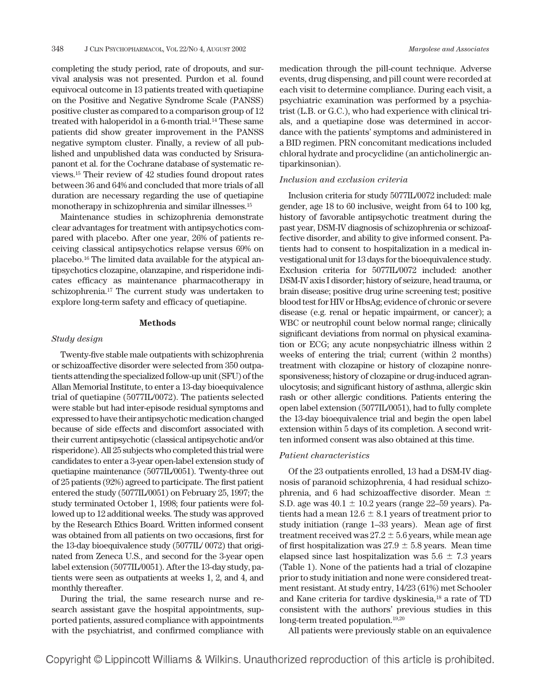completing the study period, rate of dropouts, and survival analysis was not presented. Purdon et al. found equivocal outcome in 13 patients treated with quetiapine on the Positive and Negative Syndrome Scale (PANSS) positive cluster as compared to a comparison group of 12 treated with haloperidol in a 6-month trial.<sup>14</sup> These same patients did show greater improvement in the PANSS negative symptom cluster. Finally, a review of all published and unpublished data was conducted by Srisurapanont et al. for the Cochrane database of systematic reviews.15 Their review of 42 studies found dropout rates between 36 and 64% and concluded that more trials of all duration are necessary regarding the use of quetiapine monotherapy in schizophrenia and similar illnesses.15

Maintenance studies in schizophrenia demonstrate clear advantages for treatment with antipsychotics compared with placebo. After one year, 26% of patients receiving classical antipsychotics relapse versus 69% on placebo.16 The limited data available for the atypical antipsychotics clozapine, olanzapine, and risperidone indicates efficacy as maintenance pharmacotherapy in schizophrenia.17 The current study was undertaken to explore long-term safety and efficacy of quetiapine.

#### **Methods**

# *Study design*

Twenty-five stable male outpatients with schizophrenia or schizoaffective disorder were selected from 350 outpatients attending the specialized follow-up unit (SFU) of the Allan Memorial Institute, to enter a 13-day bioequivalence trial of quetiapine (5077IL/0072). The patients selected were stable but had inter-episode residual symptoms and expressed to have their antipsychotic medication changed because of side effects and discomfort associated with their current antipsychotic (classical antipsychotic and/or risperidone). All 25 subjects who completed this trial were candidates to enter a 3-year open-label extension study of quetiapine maintenance (5077IL/0051). Twenty-three out of 25 patients (92%) agreed to participate. The first patient entered the study (5077IL/0051) on February 25, 1997; the study terminated October 1, 1998; four patients were followed up to 12 additional weeks. The study was approved by the Research Ethics Board. Written informed consent was obtained from all patients on two occasions, first for the 13-day bioequivalence study (5077IL/ 0072) that originated from Zeneca U.S., and second for the 3-year open label extension (5077IL/0051). After the 13-day study, patients were seen as outpatients at weeks 1, 2, and 4, and monthly thereafter.

During the trial, the same research nurse and research assistant gave the hospital appointments, supported patients, assured compliance with appointments with the psychiatrist, and confirmed compliance with medication through the pill-count technique. Adverse events, drug dispensing, and pill count were recorded at each visit to determine compliance. During each visit, a psychiatric examination was performed by a psychiatrist (L.B. or G.C.), who had experience with clinical trials, and a quetiapine dose was determined in accordance with the patients' symptoms and administered in a BID regimen. PRN concomitant medications included chloral hydrate and procyclidine (an anticholinergic antiparkinsonian).

# *Inclusion and exclusion criteria*

Inclusion criteria for study 5077IL/0072 included: male gender, age 18 to 60 inclusive, weight from 64 to 100 kg, history of favorable antipsychotic treatment during the past year, DSM-IV diagnosis of schizophrenia or schizoaffective disorder, and ability to give informed consent. Patients had to consent to hospitalization in a medical investigational unit for 13 days for the bioequivalence study. Exclusion criteria for 5077IL/0072 included: another DSM-IV axis I disorder; history of seizure, head trauma, or brain disease; positive drug urine screening test; positive blood test for HIV or HbsAg; evidence of chronic or severe disease (e.g. renal or hepatic impairment, or cancer); a WBC or neutrophil count below normal range; clinically significant deviations from normal on physical examination or ECG; any acute nonpsychiatric illness within 2 weeks of entering the trial; current (within 2 months) treatment with clozapine or history of clozapine nonresponsiveness; history of clozapine or drug-induced agranulocytosis; and significant history of asthma, allergic skin rash or other allergic conditions. Patients entering the open label extension (5077IL/0051), had to fully complete the 13-day bioequivalence trial and begin the open label extension within 5 days of its completion. A second written informed consent was also obtained at this time.

### *Patient characteristics*

Of the 23 outpatients enrolled, 13 had a DSM-IV diagnosis of paranoid schizophrenia, 4 had residual schizophrenia, and 6 had schizoaffective disorder. Mean  $\pm$ S.D. age was  $40.1 \pm 10.2$  years (range 22–59 years). Patients had a mean  $12.6 \pm 8.1$  years of treatment prior to study initiation (range 1–33 years). Mean age of first treatment received was  $27.2 \pm 5.6$  years, while mean age of first hospitalization was  $27.9 \pm 5.8$  years. Mean time elapsed since last hospitalization was  $5.6 \pm 7.3$  years (Table 1). None of the patients had a trial of clozapine prior to study initiation and none were considered treatment resistant. At study entry, 14/23 (61%) met Schooler and Kane criteria for tardive dyskinesia,18 a rate of TD consistent with the authors' previous studies in this long-term treated population.19,20

All patients were previously stable on an equivalence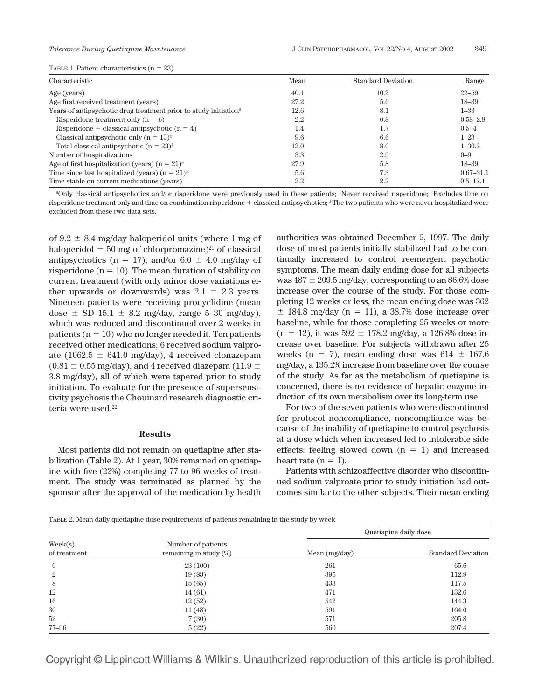|  |  | TABLE 1. Patient characteristics $(n = 23)$ |  |  |
|--|--|---------------------------------------------|--|--|
|--|--|---------------------------------------------|--|--|

| Characteristic                                                               | Mean | <b>Standard Deviation</b> | Range         |  |
|------------------------------------------------------------------------------|------|---------------------------|---------------|--|
| Age (years)                                                                  | 40.1 | 10.2                      | $22 - 59$     |  |
| Age first received treatment (years)                                         | 27.2 | 5.6                       | $18 - 39$     |  |
| Years of antipsychotic drug treatment prior to study initiation <sup>#</sup> | 12.6 | 8.1                       | $1 - 33$      |  |
| Risperidone treatment only $(n = 6)$                                         | 2.2  | 0.8                       | $0.58 - 2.8$  |  |
| Risperidone + classical antipsychotic $(n = 4)$                              | 1.4  | 1.7                       | $0.5 - 4$     |  |
| Classical antipsychotic only $(n = 13)^{\ddagger}$                           | 9.6  | 6.6                       | $1 - 23$      |  |
| Total classical antipsychotic $(n = 23)^{+}$                                 | 12.0 | 8.0                       | $1 - 30.2$    |  |
| Number of hospitalizations                                                   | 3.3  | 2.9                       | $0 - 9$       |  |
| Age of first hospitalization (years) $(n = 21)^*$                            | 27.9 | 5.8                       | $18 - 39$     |  |
| Time since last hospitalized (years) $(n = 21)^*$                            | 5.6  | 7.3                       | $0.67 - 31.1$ |  |
| Time stable on current medications (years)                                   | 2.2  | $2.2\,$                   | $0.5 - 12.1$  |  |

#Only classical antipsychotics and/or risperidone were previously used in these patients; ‡Never received risperidone; †Excludes time on risperidone treatment only and time on combination risperidone + classical antipsychotics; \*The two patients who were never hospitalized were excluded from these two data sets.

of  $9.2 \pm 8.4$  mg/day haloperidol units (where 1 mg of haloperidol  $= 50$  mg of chlorpromazine)<sup>21</sup> of classical antipsychotics ( $n = 17$ ), and/or 6.0  $\pm$  4.0 mg/day of risperidone ( $n = 10$ ). The mean duration of stability on current treatment (with only minor dose variations either upwards or downwards) was  $2.1 \pm 2.3$  years. Nineteen patients were receiving procyclidine (mean dose  $\pm$  SD 15.1  $\pm$  8.2 mg/day, range 5–30 mg/day), which was reduced and discontinued over 2 weeks in patients  $(n = 10)$  who no longer needed it. Ten patients received other medications; 6 received sodium valproate (1062.5  $\pm$  641.0 mg/day), 4 received clonazepam  $(0.81 \pm 0.55 \,\text{mg/day})$ , and 4 received diazepam (11.9  $\pm$ 3.8 mg/day), all of which were tapered prior to study initiation. To evaluate for the presence of supersensitivity psychosis the Chouinard research diagnostic criteria were used.<sup>22</sup>

#### **Results**

Most patients did not remain on quetiapine after stabilization (Table 2). At 1 year, 30% remained on quetiapine with five (22%) completing 77 to 96 weeks of treatment. The study was terminated as planned by the sponsor after the approval of the medication by health authorities was obtained December 2, 1997. The daily dose of most patients initially stabilized had to be continually increased to control reemergent psychotic symptoms. The mean daily ending dose for all subjects was  $487 \pm 209.5$  mg/day, corresponding to an  $86.6\%$  dose increase over the course of the study. For those completing 12 weeks or less, the mean ending dose was 362  $\pm$  184.8 mg/day (n = 11), a 38.7% dose increase over baseline, while for those completing 25 weeks or more  $(n = 12)$ , it was  $592 \pm 178.2$  mg/day, a 126.8% dose increase over baseline. For subjects withdrawn after 25 weeks (n = 7), mean ending dose was  $614 \pm 167.6$ mg/day, a 135.2% increase from baseline over the course of the study. As far as the metabolism of quetiapine is concerned, there is no evidence of hepatic enzyme induction of its own metabolism over its long-term use.

For two of the seven patients who were discontinued for protocol noncompliance, noncompliance was because of the inability of quetiapine to control psychosis at a dose which when increased led to intolerable side effects: feeling slowed down  $(n = 1)$  and increased heart rate  $(n = 1)$ .

Patients with schizoaffective disorder who discontinued sodium valproate prior to study initiation had outcomes similar to the other subjects. Their mean ending

TABLE 2. Mean daily quetiapine dose requirements of patients remaining in the study by week

| $\text{Week}(s)$<br>of treatment |                                                 | Quetiapine daily dose |                           |  |
|----------------------------------|-------------------------------------------------|-----------------------|---------------------------|--|
|                                  | Number of patients<br>remaining in study $(\%)$ | Mean $(mg/day)$       | <b>Standard Deviation</b> |  |
| $\mathbf{0}$                     | 23(100)                                         | 261                   | 65.6                      |  |
| $\overline{2}$                   | 19(83)                                          | 395                   | 112.9                     |  |
| 8                                | 15(65)                                          | 433                   | 117.5                     |  |
| 12                               | 14(61)                                          | 471                   | 132.6                     |  |
| 16                               | 12(52)                                          | 542                   | 144.3                     |  |
| 30                               | 11(48)                                          | 591                   | 164.0                     |  |
| 52                               | 7(30)                                           | 571                   | 205.8                     |  |
| $77 - 96$                        | 5(22)                                           | 560                   | 207.4                     |  |

Copyright © Lippincott Williams & Wilkins. Unauthorized reproduction of this article is prohibited.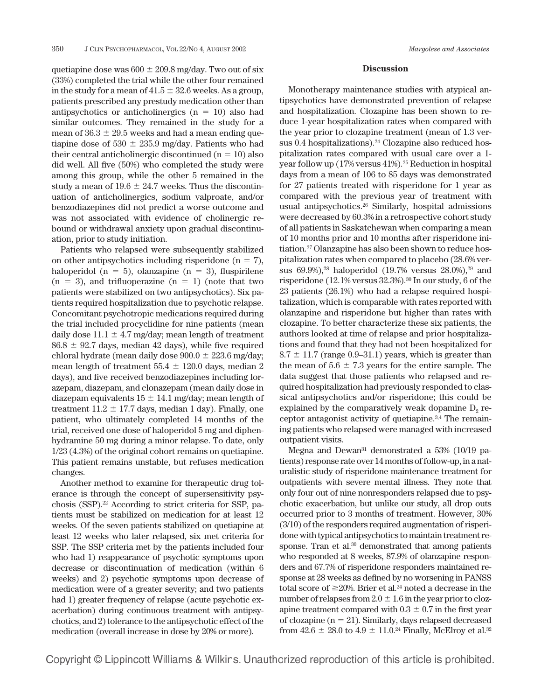quetiapine dose was  $600 \pm 209.8$  mg/day. Two out of six (33%) completed the trial while the other four remained in the study for a mean of  $41.5 \pm 32.6$  weeks. As a group, patients prescribed any prestudy medication other than antipsychotics or anticholinergics  $(n = 10)$  also had similar outcomes. They remained in the study for a mean of  $36.3 \pm 29.5$  weeks and had a mean ending quetiapine dose of  $530 \pm 235.9$  mg/day. Patients who had their central anticholinergic discontinued  $(n = 10)$  also did well. All five (50%) who completed the study were among this group, while the other 5 remained in the study a mean of  $19.6 \pm 24.7$  weeks. Thus the discontinuation of anticholinergics, sodium valproate, and/or benzodiazepines did not predict a worse outcome and was not associated with evidence of cholinergic rebound or withdrawal anxiety upon gradual discontinuation, prior to study initiation.

Patients who relapsed were subsequently stabilized on other antipsychotics including risperidone  $(n = 7)$ , haloperidol (n = 5), olanzapine (n = 3), fluspirilene  $(n = 3)$ , and trifluoperazine  $(n = 1)$  (note that two patients were stabilized on two antipsychotics). Six patients required hospitalization due to psychotic relapse. Concomitant psychotropic medications required during the trial included procyclidine for nine patients (mean daily dose  $11.1 \pm 4.7$  mg/day; mean length of treatment  $86.8 \pm 92.7$  days, median 42 days), while five required chloral hydrate (mean daily dose  $900.0 \pm 223.6$  mg/day; mean length of treatment  $55.4 \pm 120.0$  days, median 2 days), and five received benzodiazepines including lorazepam, diazepam, and clonazepam (mean daily dose in diazepam equivalents  $15 \pm 14.1$  mg/day; mean length of treatment  $11.2 \pm 17.7$  days, median 1 day). Finally, one patient, who ultimately completed 14 months of the trial, received one dose of haloperidol 5 mg and diphenhydramine 50 mg during a minor relapse. To date, only 1/23 (4.3%) of the original cohort remains on quetiapine. This patient remains unstable, but refuses medication changes.

Another method to examine for therapeutic drug tolerance is through the concept of supersensitivity psychosis (SSP).22 According to strict criteria for SSP, patients must be stabilized on medication for at least 12 weeks. Of the seven patients stabilized on quetiapine at least 12 weeks who later relapsed, six met criteria for SSP. The SSP criteria met by the patients included four who had 1) reappearance of psychotic symptoms upon decrease or discontinuation of medication (within 6 weeks) and 2) psychotic symptoms upon decrease of medication were of a greater severity; and two patients had 1) greater frequency of relapse (acute psychotic exacerbation) during continuous treatment with antipsychotics, and 2) tolerance to the antipsychotic effect of the medication (overall increase in dose by 20% or more).

# **Discussion**

Monotherapy maintenance studies with atypical antipsychotics have demonstrated prevention of relapse and hospitalization. Clozapine has been shown to reduce 1-year hospitalization rates when compared with the year prior to clozapine treatment (mean of 1.3 versus  $0.4$  hospitalizations).<sup>24</sup> Clozapine also reduced hospitalization rates compared with usual care over a 1 year follow up (17% versus 41%).<sup>25</sup> Reduction in hospital days from a mean of 106 to 85 days was demonstrated for 27 patients treated with risperidone for 1 year as compared with the previous year of treatment with usual antipsychotics.26 Similarly, hospital admissions were decreased by 60.3% in a retrospective cohort study of all patients in Saskatchewan when comparing a mean of 10 months prior and 10 months after risperidone initiation.27 Olanzapine has also been shown to reduce hospitalization rates when compared to placebo (28.6% versus  $69.9\%$ ,<sup>28</sup> haloperidol  $(19.7\% \text{ versus } 28.0\%$ ,<sup>29</sup> and risperidone (12.1% versus 32.3%).30 In our study, 6 of the 23 patients (26.1%) who had a relapse required hospitalization, which is comparable with rates reported with olanzapine and risperidone but higher than rates with clozapine. To better characterize these six patients, the authors looked at time of relapse and prior hospitalizations and found that they had not been hospitalized for  $8.7 \pm 11.7$  (range 0.9–31.1) years, which is greater than the mean of  $5.6 \pm 7.3$  years for the entire sample. The data suggest that those patients who relapsed and required hospitalization had previously responded to classical antipsychotics and/or risperidone; this could be explained by the comparatively weak dopamine  $D_2$  receptor antagonist activity of quetiapine.3,4 The remaining patients who relapsed were managed with increased outpatient visits.

Megna and Dewan<sup>31</sup> demonstrated a 53% (10/19 patients) response rate over 14 months of follow-up, in a naturalistic study of risperidone maintenance treatment for outpatients with severe mental illness. They note that only four out of nine nonresponders relapsed due to psychotic exacerbation, but unlike our study, all drop outs occurred prior to 3 months of treatment. However, 30% (3/10) of the responders required augmentation of risperidone with typical antipsychotics to maintain treatment response. Tran et al.<sup>30</sup> demonstrated that among patients who responded at 8 weeks, 87.9% of olanzapine responders and 67.7% of risperidone responders maintained response at 28 weeks as defined by no worsening in PANSS total score of  $\geq$ 20%. Brier et al.<sup>24</sup> noted a decrease in the number of relapses from  $2.0 \pm 1.6$  in the year prior to clozapine treatment compared with  $0.3 \pm 0.7$  in the first year of clozapine  $(n = 21)$ . Similarly, days relapsed decreased from  $42.6 \pm 28.0$  to  $4.9 \pm 11.0$ .<sup>24</sup> Finally, McElroy et al.<sup>32</sup>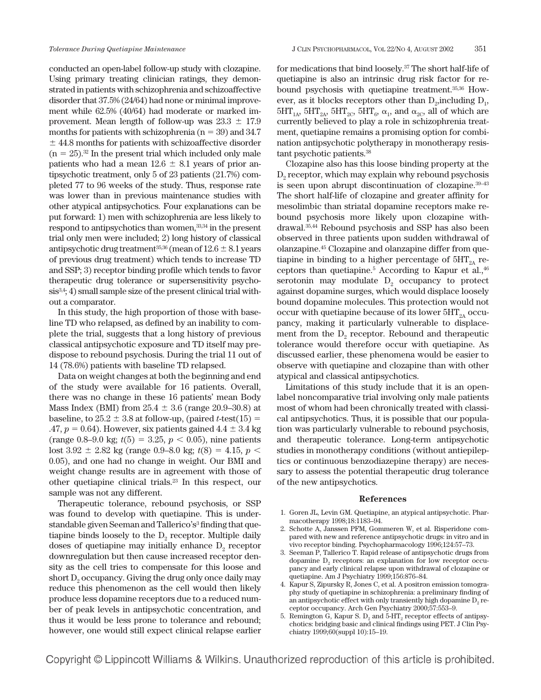conducted an open-label follow-up study with clozapine. Using primary treating clinician ratings, they demonstrated in patients with schizophrenia and schizoaffective disorder that 37.5% (24/64) had none or minimal improvement while 62.5% (40/64) had moderate or marked improvement. Mean length of follow-up was  $23.3 \pm 17.9$ months for patients with schizophrenia ( $n = 39$ ) and 34.7  $\pm$  44.8 months for patients with schizoaffective disorder  $(n = 25)$ .<sup>32</sup> In the present trial which included only male patients who had a mean  $12.6 \pm 8.1$  years of prior antipsychotic treatment, only 5 of 23 patients (21.7%) completed 77 to 96 weeks of the study. Thus, response rate was lower than in previous maintenance studies with other atypical antipsychotics. Four explanations can be put forward: 1) men with schizophrenia are less likely to respond to antipsychotics than women,33,34 in the present trial only men were included; 2) long history of classical antipsychotic drug treatment $^{35,36}$  (mean of  $12.6 \pm 8.1$  years of previous drug treatment) which tends to increase TD and SSP; 3) receptor binding profile which tends to favor therapeutic drug tolerance or supersensitivity psychosis<sup>3,4</sup>; 4) small sample size of the present clinical trial without a comparator.

In this study, the high proportion of those with baseline TD who relapsed, as defined by an inability to complete the trial, suggests that a long history of previous classical antipsychotic exposure and TD itself may predispose to rebound psychosis. During the trial 11 out of 14 (78.6%) patients with baseline TD relapsed.

Data on weight changes at both the beginning and end of the study were available for 16 patients. Overall, there was no change in these 16 patients' mean Body Mass Index (BMI) from  $25.4 \pm 3.6$  (range 20.9–30.8) at baseline, to  $25.2 \pm 3.8$  at follow-up, (paired *t*-test(15) =  $.47, p = 0.64$ ). However, six patients gained  $4.4 \pm 3.4$  kg (range 0.8–9.0 kg;  $t(5) = 3.25, p < 0.05$ ), nine patients  $\text{lost } 3.92 \pm 2.82 \text{ kg (range } 0.9\text{-}8.0 \text{ kg}; t(8) = 4.15, p \leq 1.15, p \leq 1.15, p \leq 1.15, p \leq 1.15, p \leq 1.15, p \leq 1.15, p \leq 1.15, p \leq 1.15, p \leq 1.15, p \leq 1.15, p \leq 1.15, p \leq 1.15, p \leq 1.15, p \leq 1.15, p \leq 1.15, p \leq 1.15, p \leq 1.15$ 0.05), and one had no change in weight. Our BMI and weight change results are in agreement with those of other quetiapine clinical trials.23 In this respect, our sample was not any different.

Therapeutic tolerance, rebound psychosis, or SSP was found to develop with quetiapine. This is understandable given Seeman and Tallerico's<sup>3</sup> finding that quetiapine binds loosely to the  $D<sub>2</sub>$  receptor. Multiple daily doses of quetiapine may initially enhance  $D<sub>2</sub>$  receptor downregulation but then cause increased receptor density as the cell tries to compensate for this loose and short D<sub>2</sub> occupancy. Giving the drug only once daily may reduce this phenomenon as the cell would then likely produce less dopamine receptors due to a reduced number of peak levels in antipsychotic concentration, and thus it would be less prone to tolerance and rebound; however, one would still expect clinical relapse earlier for medications that bind loosely.37 The short half-life of quetiapine is also an intrinsic drug risk factor for rebound psychosis with quetiapine treatment.35,36 However, as it blocks receptors other than  $D_2$ , including  $D_1$ ,  $5HT_{1A}$ ,  $5HT_{2A}$ ,  $5HT_{2C}$ ,  $5HT_{6}$ ,  $\alpha_1$ , and  $\alpha_{2C}$ , all of which are currently believed to play a role in schizophrenia treatment, quetiapine remains a promising option for combination antipsychotic polytherapy in monotherapy resistant psychotic patients.38

Clozapine also has this loose binding property at the D<sub>2</sub> receptor, which may explain why rebound psychosis is seen upon abrupt discontinuation of clozapine.39–43 The short half-life of clozapine and greater affinity for mesolimbic than striatal dopamine receptors make rebound psychosis more likely upon clozapine withdrawal.35,44 Rebound psychosis and SSP has also been observed in three patients upon sudden withdrawal of olanzapine.45 Clozapine and olanzapine differ from quetiapine in binding to a higher percentage of  $5HT_{24}$  receptors than quetiapine. $5$  According to Kapur et al., $46$ serotonin may modulate  $D_2$  occupancy to protect against dopamine surges, which would displace loosely bound dopamine molecules. This protection would not occur with quetiapine because of its lower  $5HT_{2A}$  occupancy, making it particularly vulnerable to displacement from the  $D_2$  receptor. Rebound and therapeutic tolerance would therefore occur with quetiapine. As discussed earlier, these phenomena would be easier to observe with quetiapine and clozapine than with other atypical and classical antipsychotics.

Limitations of this study include that it is an openlabel noncomparative trial involving only male patients most of whom had been chronically treated with classical antipsychotics. Thus, it is possible that our population was particularly vulnerable to rebound psychosis, and therapeutic tolerance. Long-term antipsychotic studies in monotherapy conditions (without antiepileptics or continuous benzodiazepine therapy) are necessary to assess the potential therapeutic drug tolerance of the new antipsychotics.

#### **References**

- 1. Goren JL, Levin GM. Quetiapine, an atypical antipsychotic. Pharmacotherapy 1998;18:1183–94.
- 2. Schotte A, Janssen PFM, Gommeren W, et al. Risperidone compared with new and reference antipsychotic drugs: in vitro and in vivo receptor binding. Psychopharmacology 1996;124:57–73.
- 3. Seeman P, Tallerico T. Rapid release of antipsychotic drugs from dopamine  $D<sub>2</sub>$  receptors: an explanation for low receptor occupancy and early clinical relapse upon withdrawal of clozapine or quetiapine. Am J Psychiatry 1999;156:876–84.
- 4. Kapur S, Zipursky R, Jones C, et al. A positron emission tomography study of quetiapine in schizophrenia: a preliminary finding of an antipsychotic effect with only transiently high dopamine  $D<sub>0</sub>$  receptor occupancy. Arch Gen Psychiatry 2000;57:553–9.
- 5. Remington G, Kapur S.  $D_2$  and 5-HT<sub>2</sub> receptor effects of antipsychotics: bridging basic and clinical findings using PET. J Clin Psychiatry 1999;60(suppl 10):15–19.